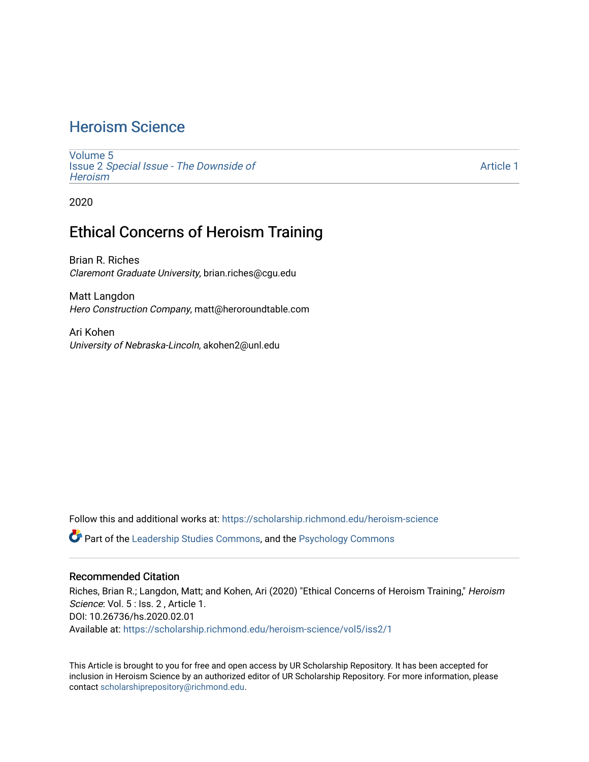## [Heroism Science](https://scholarship.richmond.edu/heroism-science)

[Volume 5](https://scholarship.richmond.edu/heroism-science/vol5) Issue 2 [Special Issue - The Downside of](https://scholarship.richmond.edu/heroism-science/vol5/iss2)  **Heroism** 

[Article 1](https://scholarship.richmond.edu/heroism-science/vol5/iss2/1) 

2020

## Ethical Concerns of Heroism Training

Brian R. Riches Claremont Graduate University, brian.riches@cgu.edu

Matt Langdon Hero Construction Company, matt@heroroundtable.com

Ari Kohen University of Nebraska-Lincoln, akohen2@unl.edu

Follow this and additional works at: [https://scholarship.richmond.edu/heroism-science](https://scholarship.richmond.edu/heroism-science?utm_source=scholarship.richmond.edu%2Fheroism-science%2Fvol5%2Fiss2%2F1&utm_medium=PDF&utm_campaign=PDFCoverPages) 

Part of the [Leadership Studies Commons,](http://network.bepress.com/hgg/discipline/1250?utm_source=scholarship.richmond.edu%2Fheroism-science%2Fvol5%2Fiss2%2F1&utm_medium=PDF&utm_campaign=PDFCoverPages) and the [Psychology Commons](http://network.bepress.com/hgg/discipline/404?utm_source=scholarship.richmond.edu%2Fheroism-science%2Fvol5%2Fiss2%2F1&utm_medium=PDF&utm_campaign=PDFCoverPages)

#### Recommended Citation

Riches, Brian R.; Langdon, Matt; and Kohen, Ari (2020) "Ethical Concerns of Heroism Training," Heroism Science: Vol. 5 : Iss. 2, Article 1. DOI: 10.26736/hs.2020.02.01 Available at: [https://scholarship.richmond.edu/heroism-science/vol5/iss2/1](https://scholarship.richmond.edu/heroism-science/vol5/iss2/1?utm_source=scholarship.richmond.edu%2Fheroism-science%2Fvol5%2Fiss2%2F1&utm_medium=PDF&utm_campaign=PDFCoverPages)

This Article is brought to you for free and open access by UR Scholarship Repository. It has been accepted for inclusion in Heroism Science by an authorized editor of UR Scholarship Repository. For more information, please contact [scholarshiprepository@richmond.edu](mailto:scholarshiprepository@richmond.edu).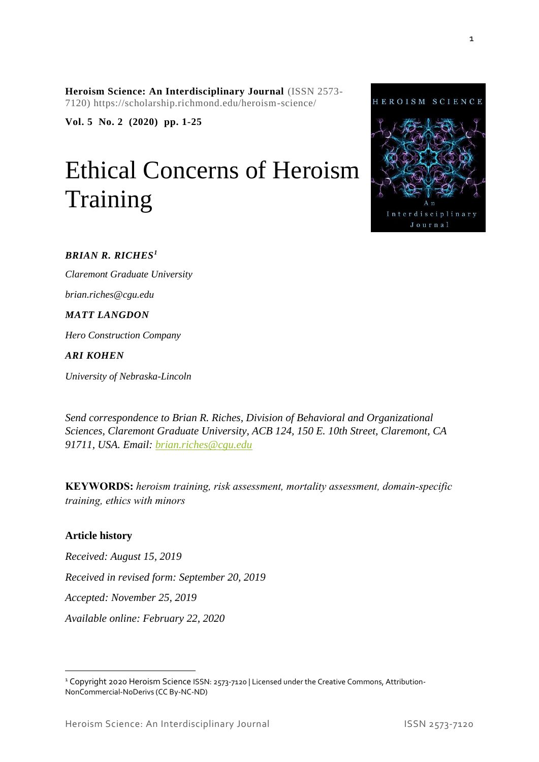**Heroism Science: An Interdisciplinary Journal** (ISSN 2573- 7120) https://scholarship.richmond.edu/heroism-science/

**Vol. 5 No. 2 (2020) pp. 1-25**

# Ethical Concerns of Heroism Training



#### *BRIAN R. RICHES<sup>1</sup>*

*Claremont Graduate University brian.riches@cgu.edu*

#### *MATT LANGDON*

*Hero Construction Company*

#### *ARI KOHEN*

*University of Nebraska-Lincoln*

*Send correspondence to Brian R. Riches, Division of Behavioral and Organizational Sciences, Claremont Graduate University, ACB 124, 150 E. 10th Street, Claremont, CA 91711, USA. Email: [brian.riches@cgu.edu](mailto:brian.riches@cgu.edu)*

**KEYWORDS:** *heroism training, risk assessment, mortality assessment, domain-specific training, ethics with minors*

#### **Article history**

*Received: August 15, 2019*

*Received in revised form: September 20, 2019*

*Accepted: November 25, 2019*

*Available online: February 22, 2020*

<sup>&</sup>lt;sup>1</sup> Copyright 2020 Heroism Science ISSN: 2573-7120 | Licensed under the Creative Commons, Attribution-NonCommercial-NoDerivs (CC By-NC-ND)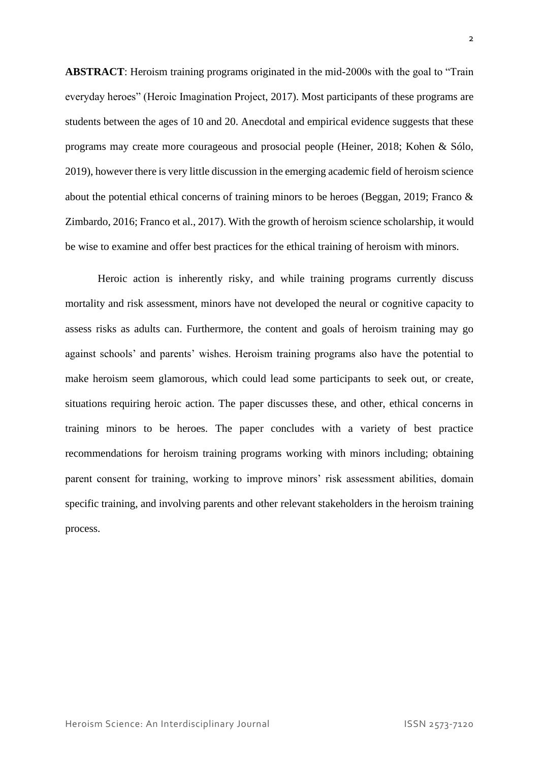**ABSTRACT**: Heroism training programs originated in the mid-2000s with the goal to "Train everyday heroes" (Heroic Imagination Project, 2017). Most participants of these programs are students between the ages of 10 and 20. Anecdotal and empirical evidence suggests that these programs may create more courageous and prosocial people (Heiner, 2018; Kohen & Sólo, 2019), however there is very little discussion in the emerging academic field of heroism science about the potential ethical concerns of training minors to be heroes (Beggan, 2019; Franco & Zimbardo, 2016; Franco et al., 2017). With the growth of heroism science scholarship, it would be wise to examine and offer best practices for the ethical training of heroism with minors.

Heroic action is inherently risky, and while training programs currently discuss mortality and risk assessment, minors have not developed the neural or cognitive capacity to assess risks as adults can. Furthermore, the content and goals of heroism training may go against schools' and parents' wishes. Heroism training programs also have the potential to make heroism seem glamorous, which could lead some participants to seek out, or create, situations requiring heroic action. The paper discusses these, and other, ethical concerns in training minors to be heroes. The paper concludes with a variety of best practice recommendations for heroism training programs working with minors including; obtaining parent consent for training, working to improve minors' risk assessment abilities, domain specific training, and involving parents and other relevant stakeholders in the heroism training process.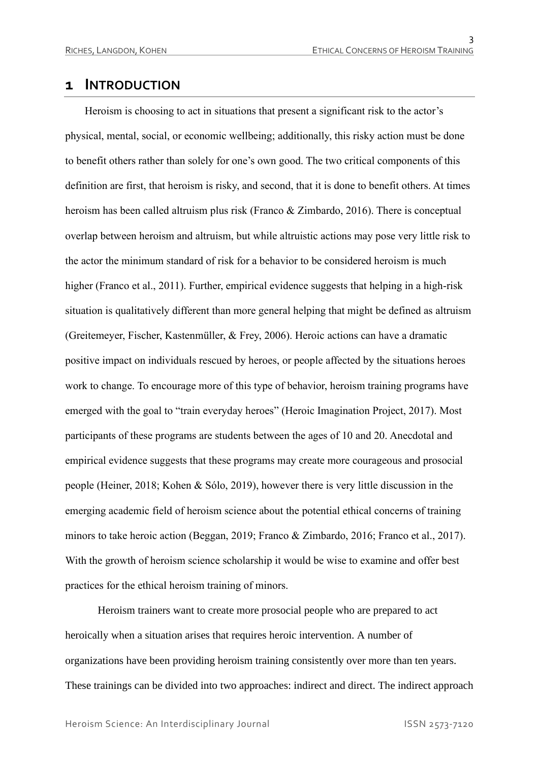### **1 INTRODUCTION**

Heroism is choosing to act in situations that present a significant risk to the actor's physical, mental, social, or economic wellbeing; additionally, this risky action must be done to benefit others rather than solely for one's own good. The two critical components of this definition are first, that heroism is risky, and second, that it is done to benefit others. At times heroism has been called altruism plus risk (Franco & Zimbardo, 2016). There is conceptual overlap between heroism and altruism, but while altruistic actions may pose very little risk to the actor the minimum standard of risk for a behavior to be considered heroism is much higher (Franco et al., 2011). Further, empirical evidence suggests that helping in a high-risk situation is qualitatively different than more general helping that might be defined as altruism (Greitemeyer, Fischer, Kastenmüller, & Frey, 2006). Heroic actions can have a dramatic positive impact on individuals rescued by heroes, or people affected by the situations heroes work to change. To encourage more of this type of behavior, heroism training programs have emerged with the goal to "train everyday heroes" (Heroic Imagination Project, 2017). Most participants of these programs are students between the ages of 10 and 20. Anecdotal and empirical evidence suggests that these programs may create more courageous and prosocial people (Heiner, 2018; Kohen & Sólo, 2019), however there is very little discussion in the emerging academic field of heroism science about the potential ethical concerns of training minors to take heroic action (Beggan, 2019; Franco & Zimbardo, 2016; Franco et al., 2017). With the growth of heroism science scholarship it would be wise to examine and offer best practices for the ethical heroism training of minors.

Heroism trainers want to create more prosocial people who are prepared to act heroically when a situation arises that requires heroic intervention. A number of organizations have been providing heroism training consistently over more than ten years. These trainings can be divided into two approaches: indirect and direct. The indirect approach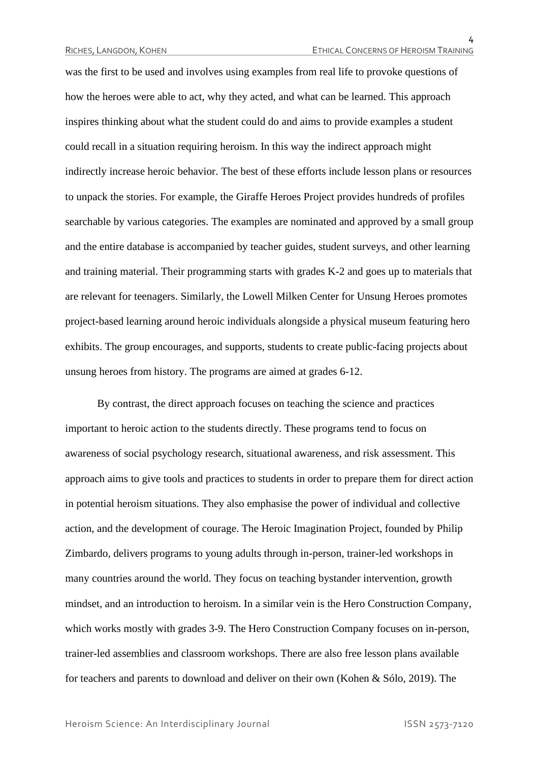was the first to be used and involves using examples from real life to provoke questions of how the heroes were able to act, why they acted, and what can be learned. This approach inspires thinking about what the student could do and aims to provide examples a student could recall in a situation requiring heroism. In this way the indirect approach might indirectly increase heroic behavior. The best of these efforts include lesson plans or resources to unpack the stories. For example, the Giraffe Heroes Project provides hundreds of profiles searchable by various categories. The examples are nominated and approved by a small group and the entire database is accompanied by teacher guides, student surveys, and other learning and training material. Their programming starts with grades K-2 and goes up to materials that are relevant for teenagers. Similarly, the Lowell Milken Center for Unsung Heroes promotes project-based learning around heroic individuals alongside a physical museum featuring hero exhibits. The group encourages, and supports, students to create public-facing projects about unsung heroes from history. The programs are aimed at grades 6-12.

By contrast, the direct approach focuses on teaching the science and practices important to heroic action to the students directly. These programs tend to focus on awareness of social psychology research, situational awareness, and risk assessment. This approach aims to give tools and practices to students in order to prepare them for direct action in potential heroism situations. They also emphasise the power of individual and collective action, and the development of courage. The Heroic Imagination Project, founded by Philip Zimbardo, delivers programs to young adults through in-person, trainer-led workshops in many countries around the world. They focus on teaching bystander intervention, growth mindset, and an introduction to heroism. In a similar vein is the Hero Construction Company, which works mostly with grades 3-9. The Hero Construction Company focuses on in-person, trainer-led assemblies and classroom workshops. There are also free lesson plans available for teachers and parents to download and deliver on their own (Kohen & Sólo, 2019). The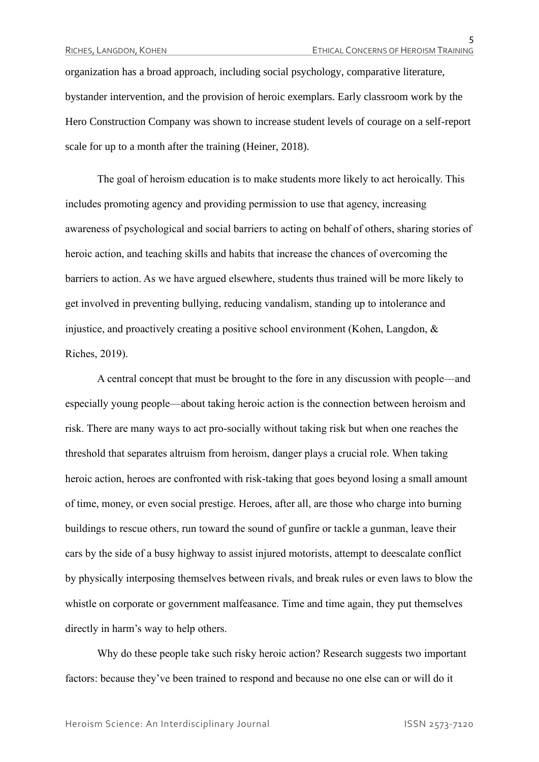organization has a broad approach, including social psychology, comparative literature, bystander intervention, and the provision of heroic exemplars. Early classroom work by the Hero Construction Company was shown to increase student levels of courage on a self-report scale for up to a month after the training (Heiner, 2018).

The goal of heroism education is to make students more likely to act heroically. This includes promoting agency and providing permission to use that agency, increasing awareness of psychological and social barriers to acting on behalf of others, sharing stories of heroic action, and teaching skills and habits that increase the chances of overcoming the barriers to action. As we have argued elsewhere, students thus trained will be more likely to get involved in preventing bullying, reducing vandalism, standing up to intolerance and injustice, and proactively creating a positive school environment (Kohen, Langdon, & Riches, 2019).

A central concept that must be brought to the fore in any discussion with people—and especially young people—about taking heroic action is the connection between heroism and risk. There are many ways to act pro-socially without taking risk but when one reaches the threshold that separates altruism from heroism, danger plays a crucial role. When taking heroic action, heroes are confronted with risk-taking that goes beyond losing a small amount of time, money, or even social prestige. Heroes, after all, are those who charge into burning buildings to rescue others, run toward the sound of gunfire or tackle a gunman, leave their cars by the side of a busy highway to assist injured motorists, attempt to deescalate conflict by physically interposing themselves between rivals, and break rules or even laws to blow the whistle on corporate or government malfeasance. Time and time again, they put themselves directly in harm's way to help others.

Why do these people take such risky heroic action? Research suggests two important factors: because they've been trained to respond and because no one else can or will do it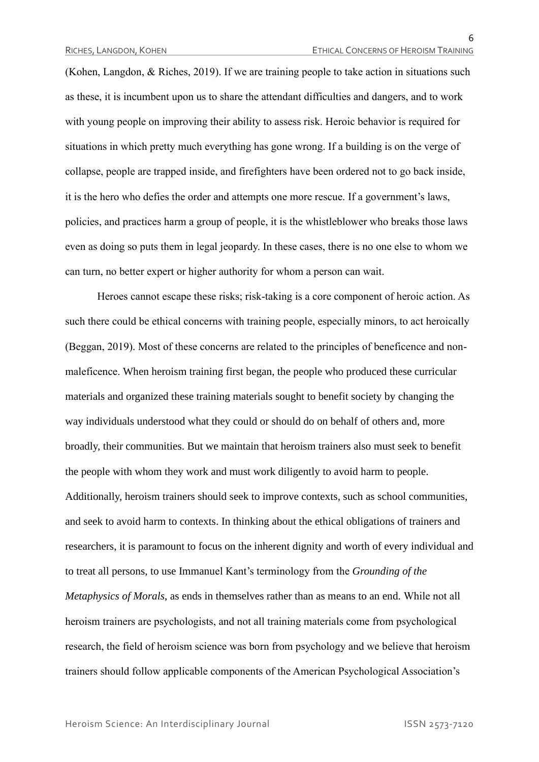(Kohen, Langdon, & Riches, 2019). If we are training people to take action in situations such as these, it is incumbent upon us to share the attendant difficulties and dangers, and to work with young people on improving their ability to assess risk. Heroic behavior is required for situations in which pretty much everything has gone wrong. If a building is on the verge of collapse, people are trapped inside, and firefighters have been ordered not to go back inside, it is the hero who defies the order and attempts one more rescue. If a government's laws, policies, and practices harm a group of people, it is the whistleblower who breaks those laws even as doing so puts them in legal jeopardy. In these cases, there is no one else to whom we can turn, no better expert or higher authority for whom a person can wait.

Heroes cannot escape these risks; risk-taking is a core component of heroic action. As such there could be ethical concerns with training people, especially minors, to act heroically (Beggan, 2019). Most of these concerns are related to the principles of beneficence and nonmaleficence. When heroism training first began, the people who produced these curricular materials and organized these training materials sought to benefit society by changing the way individuals understood what they could or should do on behalf of others and, more broadly, their communities. But we maintain that heroism trainers also must seek to benefit the people with whom they work and must work diligently to avoid harm to people. Additionally, heroism trainers should seek to improve contexts, such as school communities, and seek to avoid harm to contexts. In thinking about the ethical obligations of trainers and researchers, it is paramount to focus on the inherent dignity and worth of every individual and to treat all persons, to use Immanuel Kant's terminology from the *Grounding of the Metaphysics of Morals*, as ends in themselves rather than as means to an end. While not all heroism trainers are psychologists, and not all training materials come from psychological research, the field of heroism science was born from psychology and we believe that heroism trainers should follow applicable components of the American Psychological Association's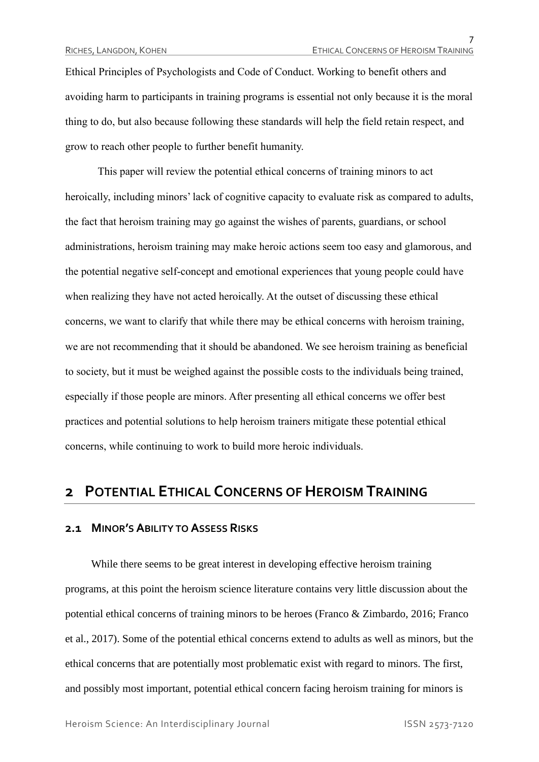Ethical Principles of Psychologists and Code of Conduct. Working to benefit others and avoiding harm to participants in training programs is essential not only because it is the moral thing to do, but also because following these standards will help the field retain respect, and grow to reach other people to further benefit humanity.

This paper will review the potential ethical concerns of training minors to act heroically, including minors' lack of cognitive capacity to evaluate risk as compared to adults, the fact that heroism training may go against the wishes of parents, guardians, or school administrations, heroism training may make heroic actions seem too easy and glamorous, and the potential negative self-concept and emotional experiences that young people could have when realizing they have not acted heroically. At the outset of discussing these ethical concerns, we want to clarify that while there may be ethical concerns with heroism training, we are not recommending that it should be abandoned. We see heroism training as beneficial to society, but it must be weighed against the possible costs to the individuals being trained, especially if those people are minors. After presenting all ethical concerns we offer best practices and potential solutions to help heroism trainers mitigate these potential ethical concerns, while continuing to work to build more heroic individuals.

## **2 POTENTIAL ETHICAL CONCERNS OF HEROISM TRAINING**

#### **2.1 MINOR'S ABILITY TO ASSESS RISKS**

While there seems to be great interest in developing effective heroism training programs, at this point the heroism science literature contains very little discussion about the potential ethical concerns of training minors to be heroes (Franco & Zimbardo, 2016; Franco et al., 2017). Some of the potential ethical concerns extend to adults as well as minors, but the ethical concerns that are potentially most problematic exist with regard to minors. The first, and possibly most important, potential ethical concern facing heroism training for minors is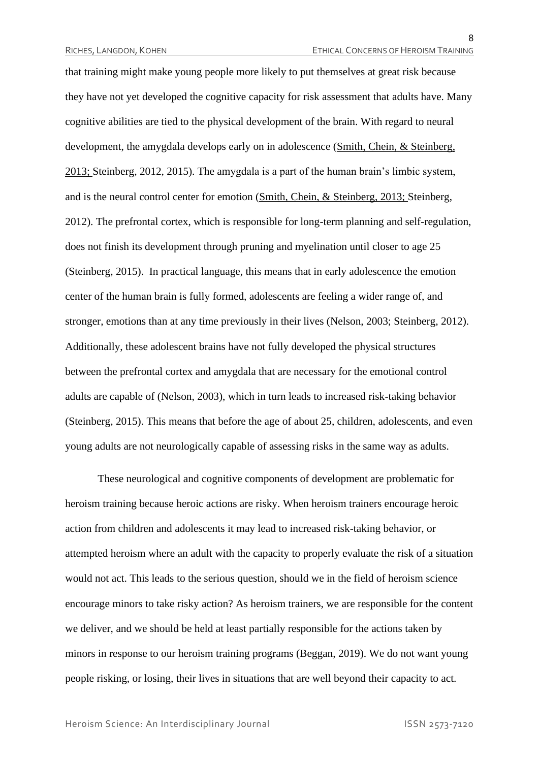that training might make young people more likely to put themselves at great risk because they have not yet developed the cognitive capacity for risk assessment that adults have. Many cognitive abilities are tied to the physical development of the brain. With regard to neural development, the amygdala develops early on in adolescence (Smith, Chein, & Steinberg, 2013; Steinberg, 2012, 2015). The amygdala is a part of the human brain's limbic system, and is the neural control center for emotion (Smith, Chein, & Steinberg, 2013; Steinberg, 2012). The prefrontal cortex, which is responsible for long-term planning and self-regulation, does not finish its development through pruning and myelination until closer to age 25 (Steinberg, 2015). In practical language, this means that in early adolescence the emotion center of the human brain is fully formed, adolescents are feeling a wider range of, and stronger, emotions than at any time previously in their lives (Nelson, 2003; Steinberg, 2012). Additionally, these adolescent brains have not fully developed the physical structures between the prefrontal cortex and amygdala that are necessary for the emotional control adults are capable of (Nelson, 2003), which in turn leads to increased risk-taking behavior (Steinberg, 2015). This means that before the age of about 25, children, adolescents, and even young adults are not neurologically capable of assessing risks in the same way as adults.

These neurological and cognitive components of development are problematic for heroism training because heroic actions are risky. When heroism trainers encourage heroic action from children and adolescents it may lead to increased risk-taking behavior, or attempted heroism where an adult with the capacity to properly evaluate the risk of a situation would not act. This leads to the serious question, should we in the field of heroism science encourage minors to take risky action? As heroism trainers, we are responsible for the content we deliver, and we should be held at least partially responsible for the actions taken by minors in response to our heroism training programs (Beggan, 2019). We do not want young people risking, or losing, their lives in situations that are well beyond their capacity to act.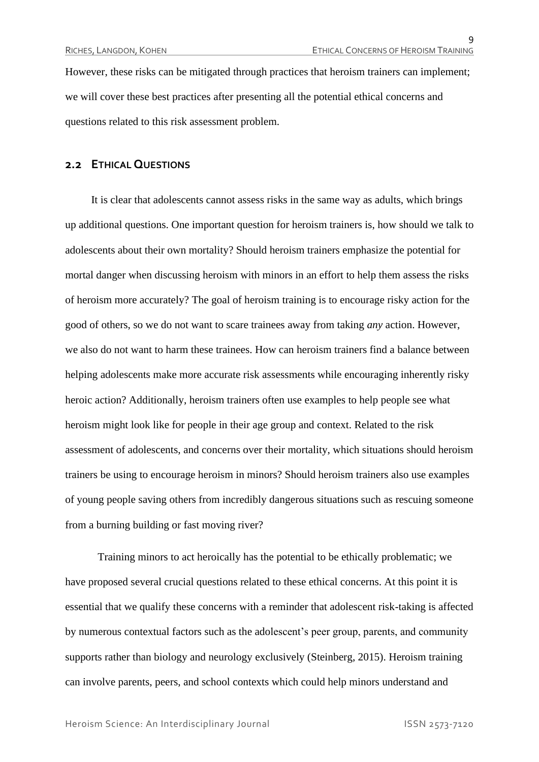However, these risks can be mitigated through practices that heroism trainers can implement; we will cover these best practices after presenting all the potential ethical concerns and questions related to this risk assessment problem.

#### **2.2 ETHICAL QUESTIONS**

It is clear that adolescents cannot assess risks in the same way as adults, which brings up additional questions. One important question for heroism trainers is, how should we talk to adolescents about their own mortality? Should heroism trainers emphasize the potential for mortal danger when discussing heroism with minors in an effort to help them assess the risks of heroism more accurately? The goal of heroism training is to encourage risky action for the good of others, so we do not want to scare trainees away from taking *any* action. However, we also do not want to harm these trainees. How can heroism trainers find a balance between helping adolescents make more accurate risk assessments while encouraging inherently risky heroic action? Additionally, heroism trainers often use examples to help people see what heroism might look like for people in their age group and context. Related to the risk assessment of adolescents, and concerns over their mortality, which situations should heroism trainers be using to encourage heroism in minors? Should heroism trainers also use examples of young people saving others from incredibly dangerous situations such as rescuing someone from a burning building or fast moving river?

Training minors to act heroically has the potential to be ethically problematic; we have proposed several crucial questions related to these ethical concerns. At this point it is essential that we qualify these concerns with a reminder that adolescent risk-taking is affected by numerous contextual factors such as the adolescent's peer group, parents, and community supports rather than biology and neurology exclusively (Steinberg, 2015). Heroism training can involve parents, peers, and school contexts which could help minors understand and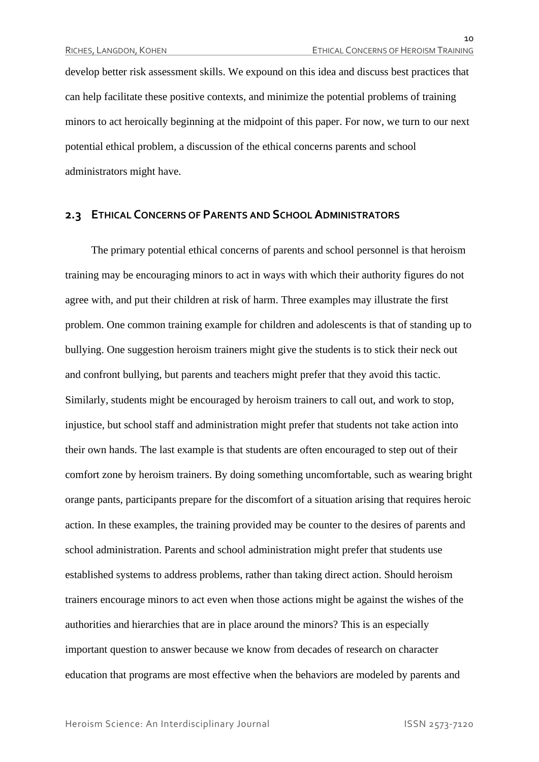develop better risk assessment skills. We expound on this idea and discuss best practices that can help facilitate these positive contexts, and minimize the potential problems of training minors to act heroically beginning at the midpoint of this paper. For now, we turn to our next potential ethical problem, a discussion of the ethical concerns parents and school administrators might have.

#### **2.3 ETHICAL CONCERNS OF PARENTS AND SCHOOL ADMINISTRATORS**

The primary potential ethical concerns of parents and school personnel is that heroism training may be encouraging minors to act in ways with which their authority figures do not agree with, and put their children at risk of harm. Three examples may illustrate the first problem. One common training example for children and adolescents is that of standing up to bullying. One suggestion heroism trainers might give the students is to stick their neck out and confront bullying, but parents and teachers might prefer that they avoid this tactic. Similarly, students might be encouraged by heroism trainers to call out, and work to stop, injustice, but school staff and administration might prefer that students not take action into their own hands. The last example is that students are often encouraged to step out of their comfort zone by heroism trainers. By doing something uncomfortable, such as wearing bright orange pants, participants prepare for the discomfort of a situation arising that requires heroic action. In these examples, the training provided may be counter to the desires of parents and school administration. Parents and school administration might prefer that students use established systems to address problems, rather than taking direct action. Should heroism trainers encourage minors to act even when those actions might be against the wishes of the authorities and hierarchies that are in place around the minors? This is an especially important question to answer because we know from decades of research on character education that programs are most effective when the behaviors are modeled by parents and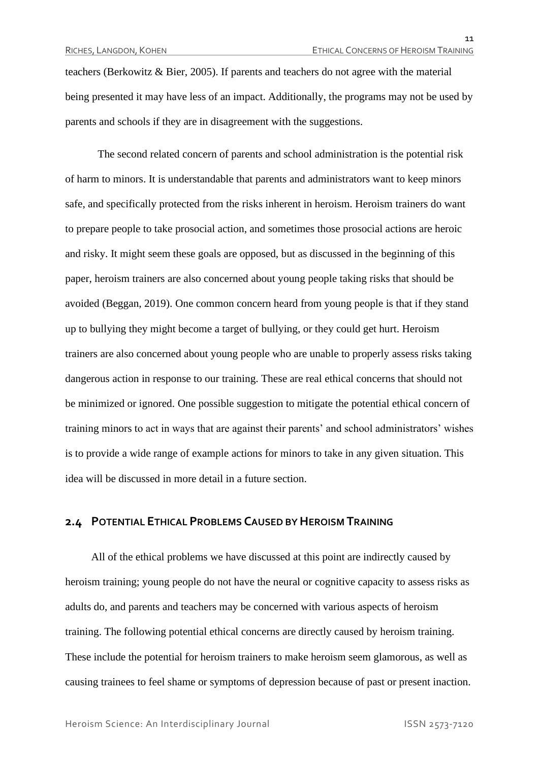teachers (Berkowitz & Bier, 2005). If parents and teachers do not agree with the material being presented it may have less of an impact. Additionally, the programs may not be used by parents and schools if they are in disagreement with the suggestions.

The second related concern of parents and school administration is the potential risk of harm to minors. It is understandable that parents and administrators want to keep minors safe, and specifically protected from the risks inherent in heroism. Heroism trainers do want to prepare people to take prosocial action, and sometimes those prosocial actions are heroic and risky. It might seem these goals are opposed, but as discussed in the beginning of this paper, heroism trainers are also concerned about young people taking risks that should be avoided (Beggan, 2019). One common concern heard from young people is that if they stand up to bullying they might become a target of bullying, or they could get hurt. Heroism trainers are also concerned about young people who are unable to properly assess risks taking dangerous action in response to our training. These are real ethical concerns that should not be minimized or ignored. One possible suggestion to mitigate the potential ethical concern of training minors to act in ways that are against their parents' and school administrators' wishes is to provide a wide range of example actions for minors to take in any given situation. This idea will be discussed in more detail in a future section.

#### **2.4 POTENTIAL ETHICAL PROBLEMS CAUSED BY HEROISM TRAINING**

All of the ethical problems we have discussed at this point are indirectly caused by heroism training; young people do not have the neural or cognitive capacity to assess risks as adults do, and parents and teachers may be concerned with various aspects of heroism training. The following potential ethical concerns are directly caused by heroism training. These include the potential for heroism trainers to make heroism seem glamorous, as well as causing trainees to feel shame or symptoms of depression because of past or present inaction.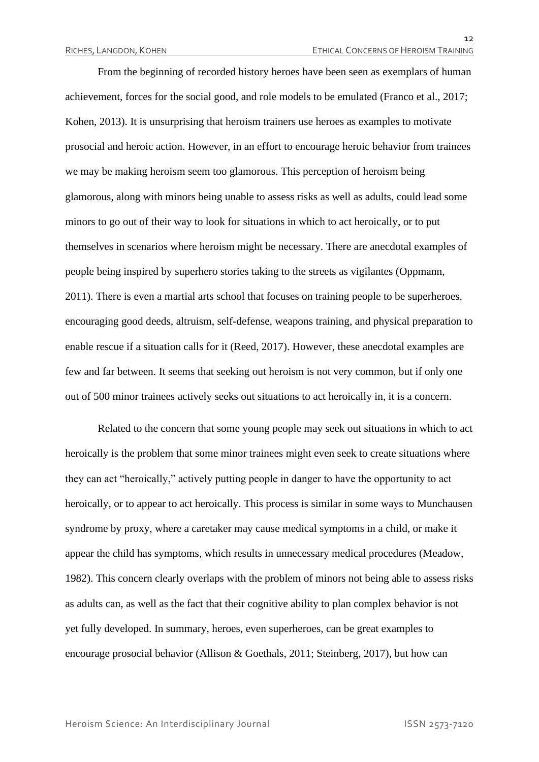From the beginning of recorded history heroes have been seen as exemplars of human achievement, forces for the social good, and role models to be emulated (Franco et al., 2017; Kohen, 2013). It is unsurprising that heroism trainers use heroes as examples to motivate prosocial and heroic action. However, in an effort to encourage heroic behavior from trainees we may be making heroism seem too glamorous. This perception of heroism being glamorous, along with minors being unable to assess risks as well as adults, could lead some minors to go out of their way to look for situations in which to act heroically, or to put themselves in scenarios where heroism might be necessary. There are anecdotal examples of people being inspired by superhero stories taking to the streets as vigilantes (Oppmann, 2011). There is even a martial arts school that focuses on training people to be superheroes, encouraging good deeds, altruism, self-defense, weapons training, and physical preparation to enable rescue if a situation calls for it (Reed, 2017). However, these anecdotal examples are few and far between. It seems that seeking out heroism is not very common, but if only one out of 500 minor trainees actively seeks out situations to act heroically in, it is a concern.

Related to the concern that some young people may seek out situations in which to act heroically is the problem that some minor trainees might even seek to create situations where they can act "heroically," actively putting people in danger to have the opportunity to act heroically, or to appear to act heroically. This process is similar in some ways to Munchausen syndrome by proxy, where a caretaker may cause medical symptoms in a child, or make it appear the child has symptoms, which results in unnecessary medical procedures (Meadow, 1982). This concern clearly overlaps with the problem of minors not being able to assess risks as adults can, as well as the fact that their cognitive ability to plan complex behavior is not yet fully developed. In summary, heroes, even superheroes, can be great examples to encourage prosocial behavior (Allison & Goethals, 2011; Steinberg, 2017), but how can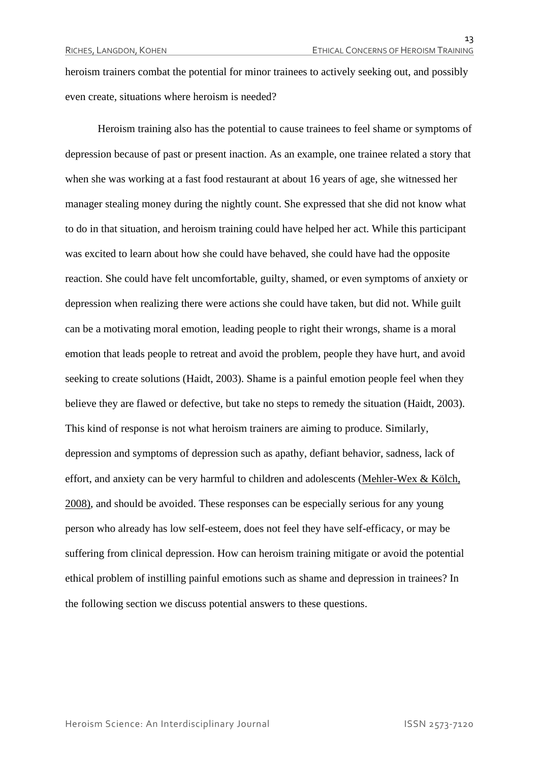heroism trainers combat the potential for minor trainees to actively seeking out, and possibly even create, situations where heroism is needed?

Heroism training also has the potential to cause trainees to feel shame or symptoms of depression because of past or present inaction. As an example, one trainee related a story that when she was working at a fast food restaurant at about 16 years of age, she witnessed her manager stealing money during the nightly count. She expressed that she did not know what to do in that situation, and heroism training could have helped her act. While this participant was excited to learn about how she could have behaved, she could have had the opposite reaction. She could have felt uncomfortable, guilty, shamed, or even symptoms of anxiety or depression when realizing there were actions she could have taken, but did not. While guilt can be a motivating moral emotion, leading people to right their wrongs, shame is a moral emotion that leads people to retreat and avoid the problem, people they have hurt, and avoid seeking to create solutions (Haidt, 2003). Shame is a painful emotion people feel when they believe they are flawed or defective, but take no steps to remedy the situation (Haidt, 2003). This kind of response is not what heroism trainers are aiming to produce. Similarly, depression and symptoms of depression such as apathy, defiant behavior, sadness, lack of effort, and anxiety can be very harmful to children and adolescents (Mehler-Wex & Kölch, 2008), and should be avoided. These responses can be especially serious for any young person who already has low self-esteem, does not feel they have self-efficacy, or may be suffering from clinical depression. How can heroism training mitigate or avoid the potential ethical problem of instilling painful emotions such as shame and depression in trainees? In the following section we discuss potential answers to these questions.

Heroism Science: An Interdisciplinary Journal ISSN 2573-7120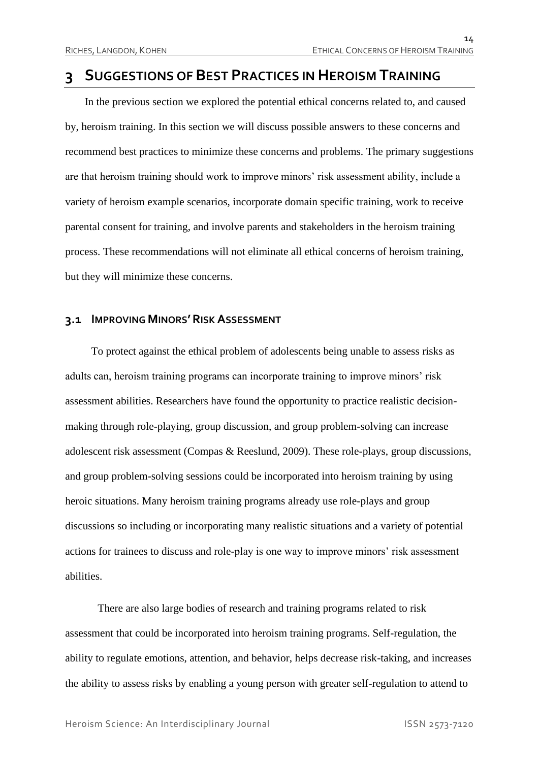## **3 SUGGESTIONS OF BEST PRACTICES IN HEROISM TRAINING**

In the previous section we explored the potential ethical concerns related to, and caused by, heroism training. In this section we will discuss possible answers to these concerns and recommend best practices to minimize these concerns and problems. The primary suggestions are that heroism training should work to improve minors' risk assessment ability, include a variety of heroism example scenarios, incorporate domain specific training, work to receive parental consent for training, and involve parents and stakeholders in the heroism training process. These recommendations will not eliminate all ethical concerns of heroism training, but they will minimize these concerns.

#### **3.1 IMPROVING MINORS'RISK ASSESSMENT**

To protect against the ethical problem of adolescents being unable to assess risks as adults can, heroism training programs can incorporate training to improve minors' risk assessment abilities. Researchers have found the opportunity to practice realistic decisionmaking through role-playing, group discussion, and group problem-solving can increase adolescent risk assessment (Compas & Reeslund, 2009). These role-plays, group discussions, and group problem-solving sessions could be incorporated into heroism training by using heroic situations. Many heroism training programs already use role-plays and group discussions so including or incorporating many realistic situations and a variety of potential actions for trainees to discuss and role-play is one way to improve minors' risk assessment abilities.

There are also large bodies of research and training programs related to risk assessment that could be incorporated into heroism training programs. Self-regulation, the ability to regulate emotions, attention, and behavior, helps decrease risk-taking, and increases the ability to assess risks by enabling a young person with greater self-regulation to attend to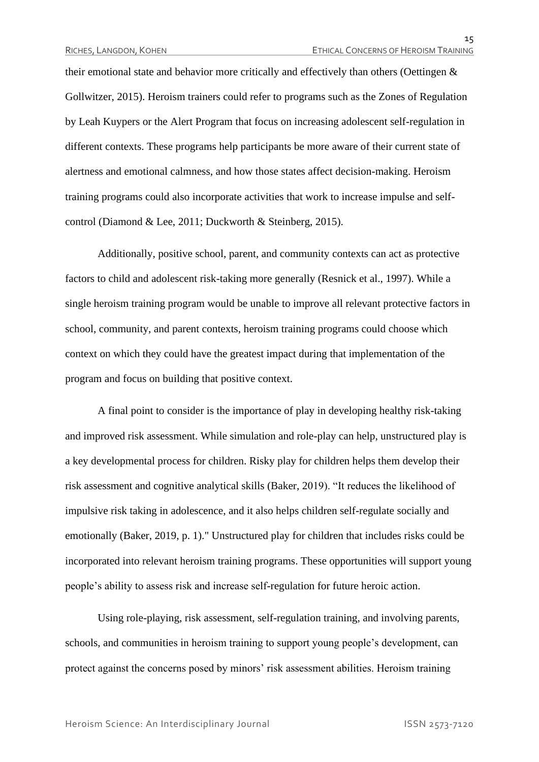their emotional state and behavior more critically and effectively than others (Oettingen & Gollwitzer, 2015). Heroism trainers could refer to programs such as the Zones of Regulation by Leah Kuypers or the Alert Program that focus on increasing adolescent self-regulation in different contexts. These programs help participants be more aware of their current state of alertness and emotional calmness, and how those states affect decision-making. Heroism training programs could also incorporate activities that work to increase impulse and selfcontrol (Diamond & Lee, 2011; Duckworth & Steinberg, 2015).

Additionally, positive school, parent, and community contexts can act as protective factors to child and adolescent risk-taking more generally (Resnick et al., 1997). While a single heroism training program would be unable to improve all relevant protective factors in school, community, and parent contexts, heroism training programs could choose which context on which they could have the greatest impact during that implementation of the program and focus on building that positive context.

A final point to consider is the importance of play in developing healthy risk-taking and improved risk assessment. While simulation and role-play can help, unstructured play is a key developmental process for children. Risky play for children helps them develop their risk assessment and cognitive analytical skills (Baker, 2019). "It reduces the likelihood of impulsive risk taking in adolescence, and it also helps children self-regulate socially and emotionally (Baker, 2019, p. 1)." Unstructured play for children that includes risks could be incorporated into relevant heroism training programs. These opportunities will support young people's ability to assess risk and increase self-regulation for future heroic action.

Using role-playing, risk assessment, self-regulation training, and involving parents, schools, and communities in heroism training to support young people's development, can protect against the concerns posed by minors' risk assessment abilities. Heroism training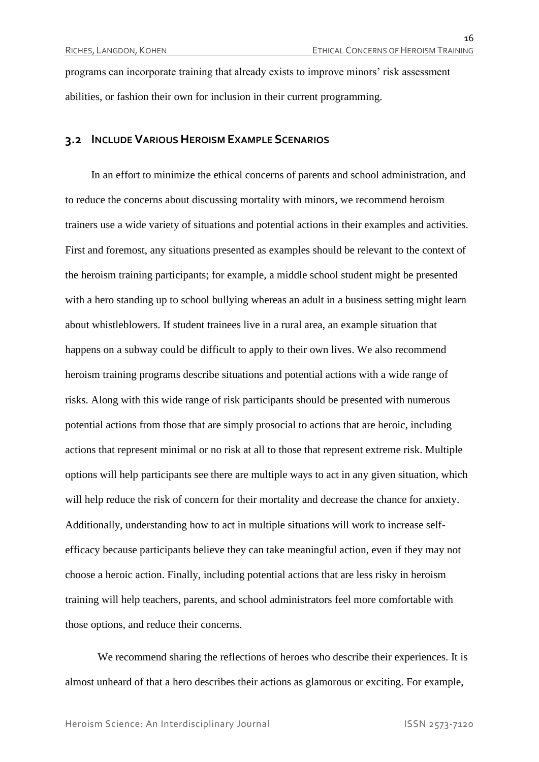programs can incorporate training that already exists to improve minors' risk assessment abilities, or fashion their own for inclusion in their current programming.

#### **3.2 INCLUDE VARIOUS HEROISM EXAMPLE SCENARIOS**

In an effort to minimize the ethical concerns of parents and school administration, and to reduce the concerns about discussing mortality with minors, we recommend heroism trainers use a wide variety of situations and potential actions in their examples and activities. First and foremost, any situations presented as examples should be relevant to the context of the heroism training participants; for example, a middle school student might be presented with a hero standing up to school bullying whereas an adult in a business setting might learn about whistleblowers. If student trainees live in a rural area, an example situation that happens on a subway could be difficult to apply to their own lives. We also recommend heroism training programs describe situations and potential actions with a wide range of risks. Along with this wide range of risk participants should be presented with numerous potential actions from those that are simply prosocial to actions that are heroic, including actions that represent minimal or no risk at all to those that represent extreme risk. Multiple options will help participants see there are multiple ways to act in any given situation, which will help reduce the risk of concern for their mortality and decrease the chance for anxiety. Additionally, understanding how to act in multiple situations will work to increase selfefficacy because participants believe they can take meaningful action, even if they may not choose a heroic action. Finally, including potential actions that are less risky in heroism training will help teachers, parents, and school administrators feel more comfortable with those options, and reduce their concerns.

We recommend sharing the reflections of heroes who describe their experiences. It is almost unheard of that a hero describes their actions as glamorous or exciting. For example,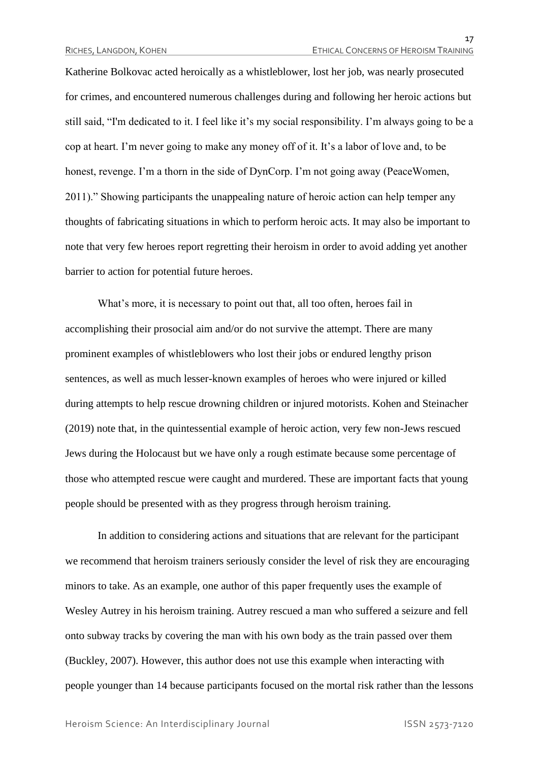Katherine Bolkovac acted heroically as a whistleblower, lost her job, was nearly prosecuted for crimes, and encountered numerous challenges during and following her heroic actions but still said, "I'm dedicated to it. I feel like it's my social responsibility. I'm always going to be a cop at heart. I'm never going to make any money off of it. It's a labor of love and, to be honest, revenge. I'm a thorn in the side of DynCorp. I'm not going away (PeaceWomen, 2011)." Showing participants the unappealing nature of heroic action can help temper any thoughts of fabricating situations in which to perform heroic acts. It may also be important to note that very few heroes report regretting their heroism in order to avoid adding yet another barrier to action for potential future heroes.

What's more, it is necessary to point out that, all too often, heroes fail in accomplishing their prosocial aim and/or do not survive the attempt. There are many prominent examples of whistleblowers who lost their jobs or endured lengthy prison sentences, as well as much lesser-known examples of heroes who were injured or killed during attempts to help rescue drowning children or injured motorists. Kohen and Steinacher (2019) note that, in the quintessential example of heroic action, very few non-Jews rescued Jews during the Holocaust but we have only a rough estimate because some percentage of those who attempted rescue were caught and murdered. These are important facts that young people should be presented with as they progress through heroism training.

In addition to considering actions and situations that are relevant for the participant we recommend that heroism trainers seriously consider the level of risk they are encouraging minors to take. As an example, one author of this paper frequently uses the example of Wesley Autrey in his heroism training. Autrey rescued a man who suffered a seizure and fell onto subway tracks by covering the man with his own body as the train passed over them (Buckley, 2007). However, this author does not use this example when interacting with people younger than 14 because participants focused on the mortal risk rather than the lessons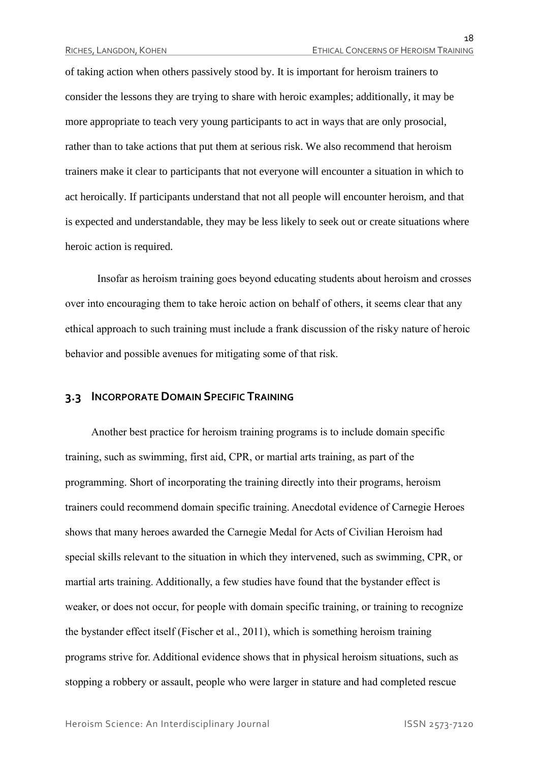of taking action when others passively stood by. It is important for heroism trainers to consider the lessons they are trying to share with heroic examples; additionally, it may be more appropriate to teach very young participants to act in ways that are only prosocial, rather than to take actions that put them at serious risk. We also recommend that heroism trainers make it clear to participants that not everyone will encounter a situation in which to act heroically. If participants understand that not all people will encounter heroism, and that is expected and understandable, they may be less likely to seek out or create situations where heroic action is required.

Insofar as heroism training goes beyond educating students about heroism and crosses over into encouraging them to take heroic action on behalf of others, it seems clear that any ethical approach to such training must include a frank discussion of the risky nature of heroic behavior and possible avenues for mitigating some of that risk.

#### **3.3 INCORPORATE DOMAIN SPECIFIC TRAINING**

Another best practice for heroism training programs is to include domain specific training, such as swimming, first aid, CPR, or martial arts training, as part of the programming. Short of incorporating the training directly into their programs, heroism trainers could recommend domain specific training. Anecdotal evidence of Carnegie Heroes shows that many heroes awarded the Carnegie Medal for Acts of Civilian Heroism had special skills relevant to the situation in which they intervened, such as swimming, CPR, or martial arts training. Additionally, a few studies have found that the bystander effect is weaker, or does not occur, for people with domain specific training, or training to recognize the bystander effect itself (Fischer et al., 2011), which is something heroism training programs strive for. Additional evidence shows that in physical heroism situations, such as stopping a robbery or assault, people who were larger in stature and had completed rescue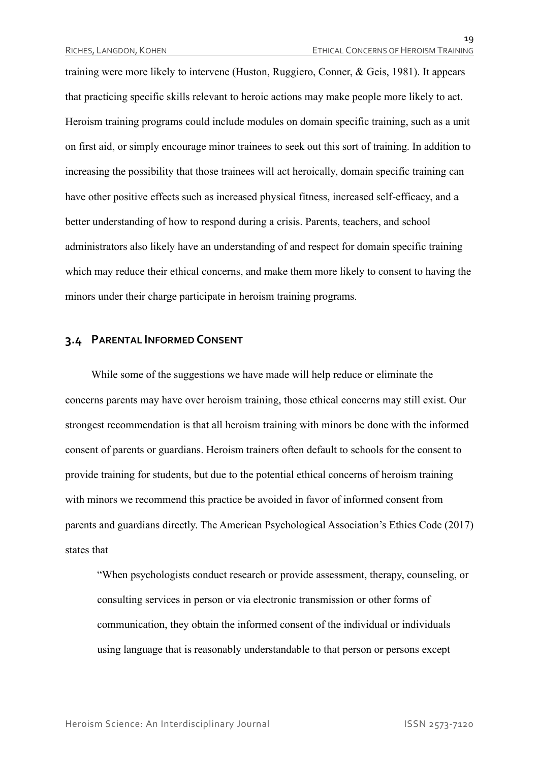training were more likely to intervene (Huston, Ruggiero, Conner, & Geis, 1981). It appears that practicing specific skills relevant to heroic actions may make people more likely to act. Heroism training programs could include modules on domain specific training, such as a unit on first aid, or simply encourage minor trainees to seek out this sort of training. In addition to increasing the possibility that those trainees will act heroically, domain specific training can have other positive effects such as increased physical fitness, increased self-efficacy, and a better understanding of how to respond during a crisis. Parents, teachers, and school administrators also likely have an understanding of and respect for domain specific training which may reduce their ethical concerns, and make them more likely to consent to having the minors under their charge participate in heroism training programs.

#### **3.4 PARENTAL INFORMED CONSENT**

While some of the suggestions we have made will help reduce or eliminate the concerns parents may have over heroism training, those ethical concerns may still exist. Our strongest recommendation is that all heroism training with minors be done with the informed consent of parents or guardians. Heroism trainers often default to schools for the consent to provide training for students, but due to the potential ethical concerns of heroism training with minors we recommend this practice be avoided in favor of informed consent from parents and guardians directly. The American Psychological Association's Ethics Code (2017) states that

"When psychologists conduct research or provide assessment, therapy, counseling, or consulting services in person or via electronic transmission or other forms of communication, they obtain the informed consent of the individual or individuals using language that is reasonably understandable to that person or persons except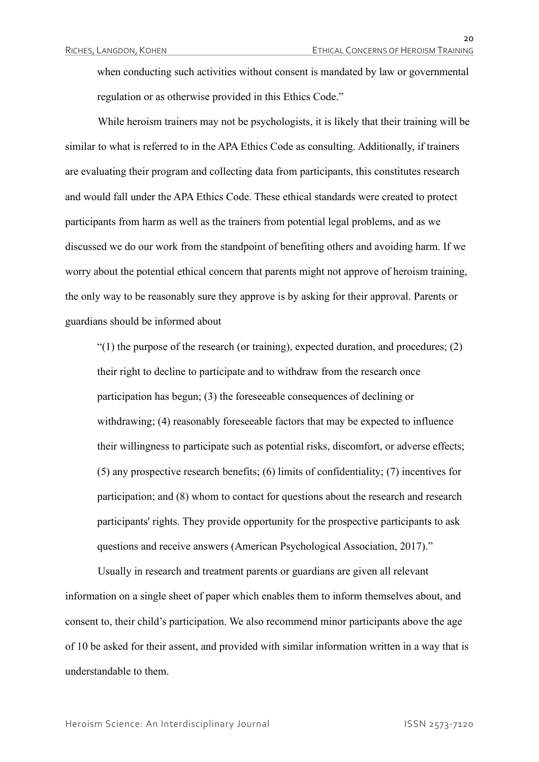when conducting such activities without consent is mandated by law or governmental regulation or as otherwise provided in this Ethics Code."

While heroism trainers may not be psychologists, it is likely that their training will be similar to what is referred to in the APA Ethics Code as consulting. Additionally, if trainers are evaluating their program and collecting data from participants, this constitutes research and would fall under the APA Ethics Code. These ethical standards were created to protect participants from harm as well as the trainers from potential legal problems, and as we discussed we do our work from the standpoint of benefiting others and avoiding harm. If we worry about the potential ethical concern that parents might not approve of heroism training, the only way to be reasonably sure they approve is by asking for their approval. Parents or guardians should be informed about

 $\degree$ (1) the purpose of the research (or training), expected duration, and procedures; (2) their right to decline to participate and to withdraw from the research once participation has begun; (3) the foreseeable consequences of declining or withdrawing; (4) reasonably foreseeable factors that may be expected to influence their willingness to participate such as potential risks, discomfort, or adverse effects; (5) any prospective research benefits; (6) limits of confidentiality; (7) incentives for participation; and (8) whom to contact for questions about the research and research participants' rights. They provide opportunity for the prospective participants to ask questions and receive answers (American Psychological Association, 2017)."

Usually in research and treatment parents or guardians are given all relevant information on a single sheet of paper which enables them to inform themselves about, and consent to, their child's participation. We also recommend minor participants above the age of 10 be asked for their assent, and provided with similar information written in a way that is understandable to them.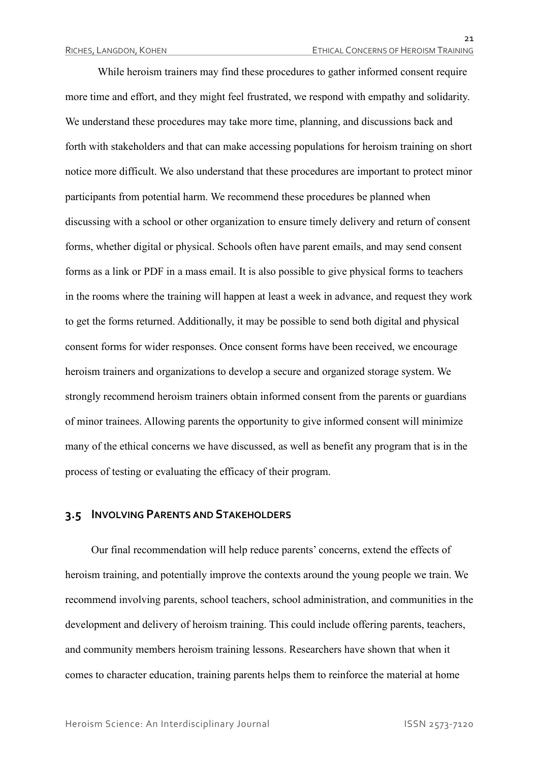While heroism trainers may find these procedures to gather informed consent require more time and effort, and they might feel frustrated, we respond with empathy and solidarity. We understand these procedures may take more time, planning, and discussions back and forth with stakeholders and that can make accessing populations for heroism training on short notice more difficult. We also understand that these procedures are important to protect minor participants from potential harm. We recommend these procedures be planned when discussing with a school or other organization to ensure timely delivery and return of consent forms, whether digital or physical. Schools often have parent emails, and may send consent forms as a link or PDF in a mass email. It is also possible to give physical forms to teachers in the rooms where the training will happen at least a week in advance, and request they work to get the forms returned. Additionally, it may be possible to send both digital and physical consent forms for wider responses. Once consent forms have been received, we encourage heroism trainers and organizations to develop a secure and organized storage system. We strongly recommend heroism trainers obtain informed consent from the parents or guardians of minor trainees. Allowing parents the opportunity to give informed consent will minimize many of the ethical concerns we have discussed, as well as benefit any program that is in the process of testing or evaluating the efficacy of their program.

#### **3.5 INVOLVING PARENTS AND STAKEHOLDERS**

Our final recommendation will help reduce parents' concerns, extend the effects of heroism training, and potentially improve the contexts around the young people we train. We recommend involving parents, school teachers, school administration, and communities in the development and delivery of heroism training. This could include offering parents, teachers, and community members heroism training lessons. Researchers have shown that when it comes to character education, training parents helps them to reinforce the material at home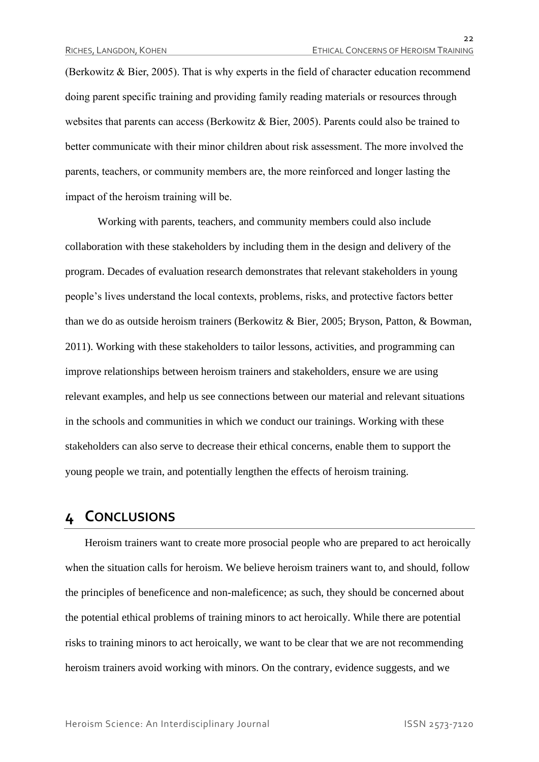(Berkowitz & Bier, 2005). That is why experts in the field of character education recommend doing parent specific training and providing family reading materials or resources through websites that parents can access (Berkowitz & Bier, 2005). Parents could also be trained to better communicate with their minor children about risk assessment. The more involved the parents, teachers, or community members are, the more reinforced and longer lasting the impact of the heroism training will be.

Working with parents, teachers, and community members could also include collaboration with these stakeholders by including them in the design and delivery of the program. Decades of evaluation research demonstrates that relevant stakeholders in young people's lives understand the local contexts, problems, risks, and protective factors better than we do as outside heroism trainers (Berkowitz & Bier, 2005; Bryson, Patton, & Bowman, 2011). Working with these stakeholders to tailor lessons, activities, and programming can improve relationships between heroism trainers and stakeholders, ensure we are using relevant examples, and help us see connections between our material and relevant situations in the schools and communities in which we conduct our trainings. Working with these stakeholders can also serve to decrease their ethical concerns, enable them to support the young people we train, and potentially lengthen the effects of heroism training.

## **4 CONCLUSIONS**

Heroism trainers want to create more prosocial people who are prepared to act heroically when the situation calls for heroism. We believe heroism trainers want to, and should, follow the principles of beneficence and non-maleficence; as such, they should be concerned about the potential ethical problems of training minors to act heroically. While there are potential risks to training minors to act heroically, we want to be clear that we are not recommending heroism trainers avoid working with minors. On the contrary, evidence suggests, and we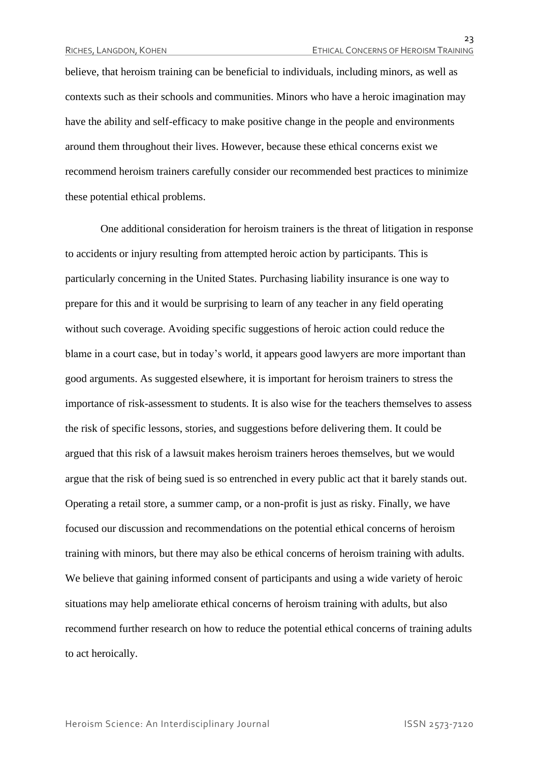believe, that heroism training can be beneficial to individuals, including minors, as well as contexts such as their schools and communities. Minors who have a heroic imagination may have the ability and self-efficacy to make positive change in the people and environments around them throughout their lives. However, because these ethical concerns exist we recommend heroism trainers carefully consider our recommended best practices to minimize these potential ethical problems.

One additional consideration for heroism trainers is the threat of litigation in response to accidents or injury resulting from attempted heroic action by participants. This is particularly concerning in the United States. Purchasing liability insurance is one way to prepare for this and it would be surprising to learn of any teacher in any field operating without such coverage. Avoiding specific suggestions of heroic action could reduce the blame in a court case, but in today's world, it appears good lawyers are more important than good arguments. As suggested elsewhere, it is important for heroism trainers to stress the importance of risk-assessment to students. It is also wise for the teachers themselves to assess the risk of specific lessons, stories, and suggestions before delivering them. It could be argued that this risk of a lawsuit makes heroism trainers heroes themselves, but we would argue that the risk of being sued is so entrenched in every public act that it barely stands out. Operating a retail store, a summer camp, or a non-profit is just as risky. Finally, we have focused our discussion and recommendations on the potential ethical concerns of heroism training with minors, but there may also be ethical concerns of heroism training with adults. We believe that gaining informed consent of participants and using a wide variety of heroic situations may help ameliorate ethical concerns of heroism training with adults, but also recommend further research on how to reduce the potential ethical concerns of training adults to act heroically.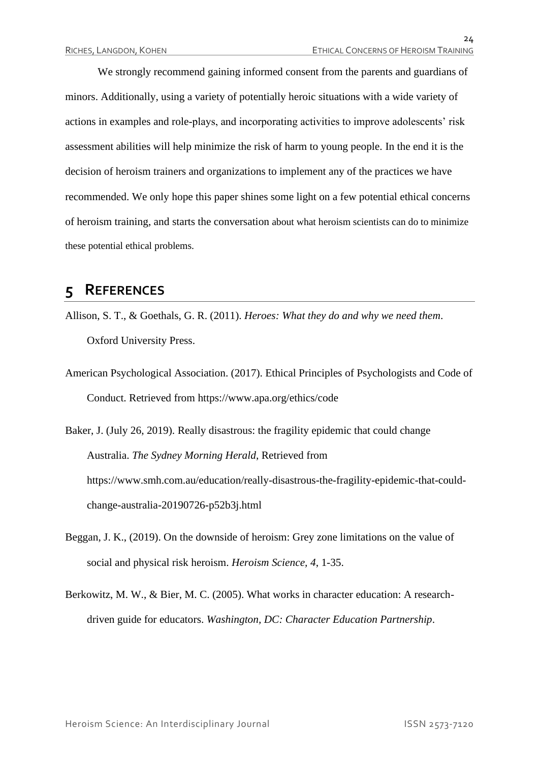$2<sub>4</sub>$ 

We strongly recommend gaining informed consent from the parents and guardians of minors. Additionally, using a variety of potentially heroic situations with a wide variety of actions in examples and role-plays, and incorporating activities to improve adolescents' risk assessment abilities will help minimize the risk of harm to young people. In the end it is the decision of heroism trainers and organizations to implement any of the practices we have recommended. We only hope this paper shines some light on a few potential ethical concerns of heroism training, and starts the conversation about what heroism scientists can do to minimize these potential ethical problems.

## **5 REFERENCES**

- Allison, S. T., & Goethals, G. R. (2011). *Heroes: What they do and why we need them*. Oxford University Press.
- American Psychological Association. (2017). Ethical Principles of Psychologists and Code of Conduct. Retrieved from https://www.apa.org/ethics/code

Baker, J. (July 26, 2019). Really disastrous: the fragility epidemic that could change Australia. *The Sydney Morning Herald*, Retrieved from https://www.smh.com.au/education/really-disastrous-the-fragility-epidemic-that-couldchange-australia-20190726-p52b3j.html

- Beggan, J. K., (2019). On the downside of heroism: Grey zone limitations on the value of social and physical risk heroism. *Heroism Science, 4*, 1-35.
- Berkowitz, M. W., & Bier, M. C. (2005). What works in character education: A researchdriven guide for educators. *Washington, DC: Character Education Partnership*.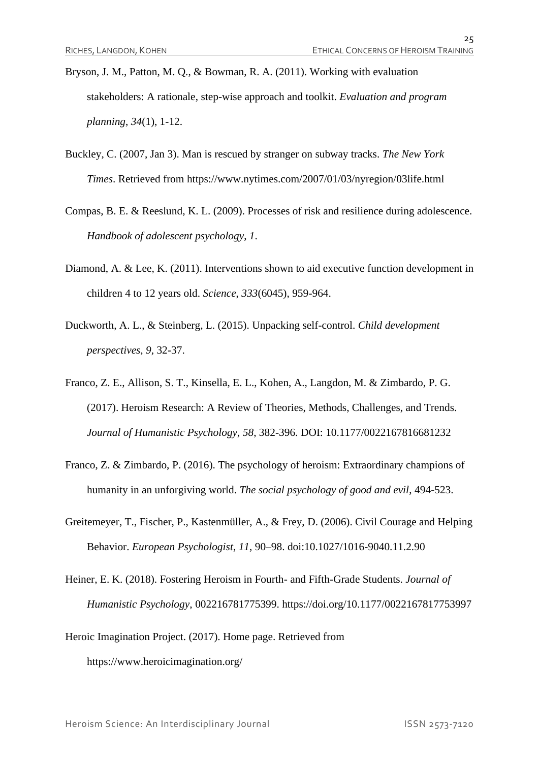- Bryson, J. M., Patton, M. Q., & Bowman, R. A. (2011). Working with evaluation stakeholders: A rationale, step-wise approach and toolkit. *Evaluation and program planning*, *34*(1), 1-12.
- Buckley, C. (2007, Jan 3). Man is rescued by stranger on subway tracks. *The New York Times*. Retrieved from https://www.nytimes.com/2007/01/03/nyregion/03life.html
- Compas, B. E. & Reeslund, K. L. (2009). Processes of risk and resilience during adolescence. *Handbook of adolescent psychology*, *1*.
- Diamond, A. & Lee, K. (2011). Interventions shown to aid executive function development in children 4 to 12 years old. *Science*, *333*(6045), 959-964.
- Duckworth, A. L., & Steinberg, L. (2015). Unpacking self-control. *Child development perspectives*, *9*, 32-37.
- Franco, Z. E., Allison, S. T., Kinsella, E. L., Kohen, A., Langdon, M. & Zimbardo, P. G. (2017). Heroism Research: A Review of Theories, Methods, Challenges, and Trends. *Journal of Humanistic Psychology, 58*, 382-396. DOI: 10.1177/0022167816681232
- Franco, Z. & Zimbardo, P. (2016). The psychology of heroism: Extraordinary champions of humanity in an unforgiving world. *The social psychology of good and evil*, 494-523.
- Greitemeyer, T., Fischer, P., Kastenmüller, A., & Frey, D. (2006). Civil Courage and Helping Behavior. *European Psychologist*, *11*, 90–98. doi:10.1027/1016-9040.11.2.90
- Heiner, E. K. (2018). Fostering Heroism in Fourth- and Fifth-Grade Students. *Journal of Humanistic Psychology*, 002216781775399. https://doi.org/10.1177/0022167817753997
- Heroic Imagination Project. (2017). Home page. Retrieved from <https://www.heroicimagination.org/>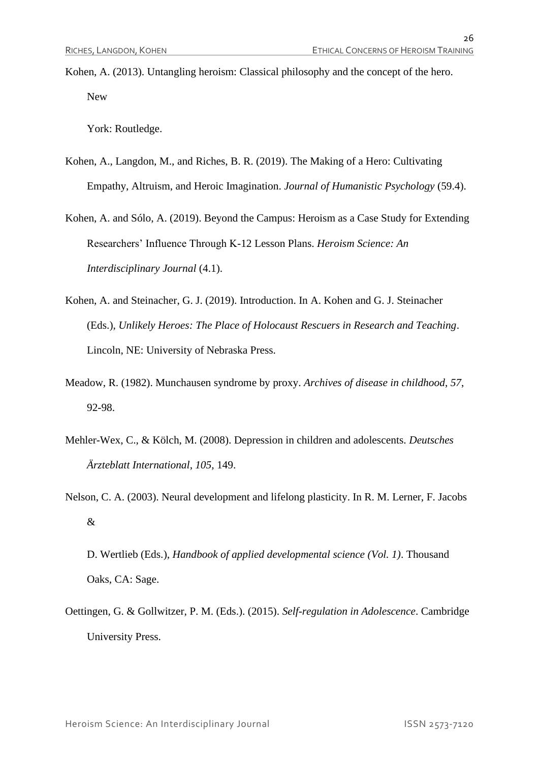Kohen, A. (2013). Untangling heroism: Classical philosophy and the concept of the hero. New

York: Routledge.

- Kohen, A., Langdon, M., and Riches, B. R. (2019). The Making of a Hero: Cultivating Empathy, Altruism, and Heroic Imagination. *Journal of Humanistic Psychology* (59.4).
- Kohen, A. and Sólo, A. (2019). Beyond the Campus: Heroism as a Case Study for Extending Researchers' Influence Through K-12 Lesson Plans. *Heroism Science: An Interdisciplinary Journal* (4.1).
- Kohen, A. and Steinacher, G. J. (2019). Introduction. In A. Kohen and G. J. Steinacher (Eds.), *Unlikely Heroes: The Place of Holocaust Rescuers in Research and Teaching*. Lincoln, NE: University of Nebraska Press.
- Meadow, R. (1982). Munchausen syndrome by proxy. *Archives of disease in childhood*, *57*, 92-98.
- Mehler-Wex, C., & Kölch, M. (2008). Depression in children and adolescents. *Deutsches Ärzteblatt International*, *105*, 149.
- Nelson, C. A. (2003). Neural development and lifelong plasticity. In R. M. Lerner, F. Jacobs &
	- D. Wertlieb (Eds.), *Handbook of applied developmental science (Vol. 1)*. Thousand Oaks, CA: Sage.
- Oettingen, G. & Gollwitzer, P. M. (Eds.). (2015). *Self-regulation in Adolescence*. Cambridge University Press.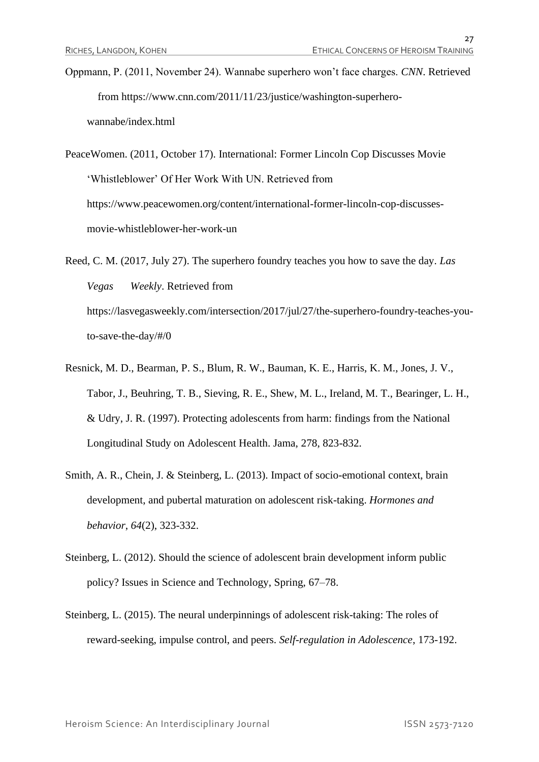- Oppmann, P. (2011, November 24). Wannabe superhero won't face charges. *CNN*. Retrieved from https://www.cnn.com/2011/11/23/justice/washington-superherowannabe/index.html
- PeaceWomen. (2011, October 17). International: Former Lincoln Cop Discusses Movie 'Whistleblower' Of Her Work With UN. Retrieved from [https://www.peacewomen.org/content/international-former-lincoln-cop-discusses](https://www.peacewomen.org/content/international-former-lincoln-cop-discusses-movie-whistleblower-her-work-un)[movie-whistleblower-her-work-un](https://www.peacewomen.org/content/international-former-lincoln-cop-discusses-movie-whistleblower-her-work-un)
- Reed, C. M. (2017, July 27). The superhero foundry teaches you how to save the day. *Las Vegas Weekly*. Retrieved from https://lasvegasweekly.com/intersection/2017/jul/27/the-superhero-foundry-teaches-youto-save-the-day/#/0
- Resnick, M. D., Bearman, P. S., Blum, R. W., Bauman, K. E., Harris, K. M., Jones, J. V., Tabor, J., Beuhring, T. B., Sieving, R. E., Shew, M. L., Ireland, M. T., Bearinger, L. H., & Udry, J. R. (1997). Protecting adolescents from harm: findings from the National Longitudinal Study on Adolescent Health. Jama, 278, 823-832.
- Smith, A. R., Chein, J. & Steinberg, L. (2013). Impact of socio-emotional context, brain development, and pubertal maturation on adolescent risk-taking. *Hormones and behavior*, *64*(2), 323-332.
- Steinberg, L. (2012). Should the science of adolescent brain development inform public policy? Issues in Science and Technology, Spring, 67–78.
- Steinberg, L. (2015). The neural underpinnings of adolescent risk-taking: The roles of reward-seeking, impulse control, and peers. *Self-regulation in Adolescence*, 173-192.